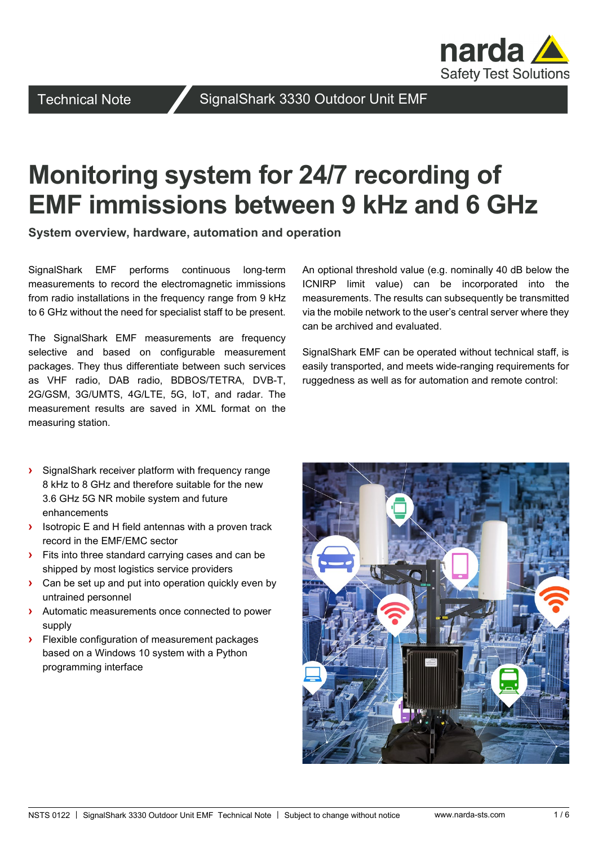

Technical Note **SignalShark 3330 Outdoor Unit EMF** 

# **Monitoring system for 24/7 recording of EMF immissions between 9 kHz and 6 GHz**

**System overview, hardware, automation and operation**

SignalShark EMF performs continuous long-term measurements to record the electromagnetic immissions from radio installations in the frequency range from 9 kHz to 6 GHz without the need for specialist staff to be present.

The SignalShark EMF measurements are frequency selective and based on configurable measurement packages. They thus differentiate between such services as VHF radio, DAB radio, BDBOS/TETRA, DVB-T, 2G/GSM, 3G/UMTS, 4G/LTE, 5G, IoT, and radar. The measurement results are saved in XML format on the measuring station.

**›** SignalShark receiver platform with frequency range 8 kHz to 8 GHz and therefore suitable for the new 3.6 GHz 5G NR mobile system and future enhancements

- **›** Isotropic E and H field antennas with a proven track record in the EMF/EMC sector
- **›** Fits into three standard carrying cases and can be shipped by most logistics service providers
- **›** Can be set up and put into operation quickly even by untrained personnel
- **›** Automatic measurements once connected to power supply
- **›** Flexible configuration of measurement packages based on a Windows 10 system with a Python programming interface

An optional threshold value (e.g. nominally 40 dB below the ICNIRP limit value) can be incorporated into the measurements. The results can subsequently be transmitted via the mobile network to the user's central server where they can be archived and evaluated.

SignalShark EMF can be operated without technical staff, is easily transported, and meets wide-ranging requirements for ruggedness as well as for automation and remote control:

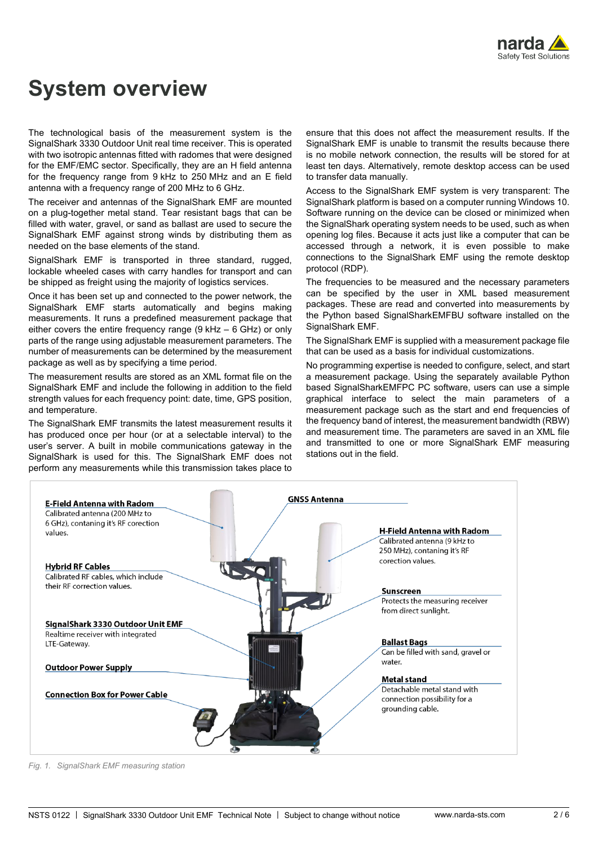

## **System overview**

The technological basis of the measurement system is the SignalShark 3330 Outdoor Unit real time receiver. This is operated with two isotropic antennas fitted with radomes that were designed for the EMF/EMC sector. Specifically, they are an H field antenna for the frequency range from 9 kHz to 250 MHz and an E field antenna with a frequency range of 200 MHz to 6 GHz.

The receiver and antennas of the SignalShark EMF are mounted on a plug-together metal stand. Tear resistant bags that can be filled with water, gravel, or sand as ballast are used to secure the SignalShark EMF against strong winds by distributing them as needed on the base elements of the stand.

SignalShark EMF is transported in three standard, rugged, lockable wheeled cases with carry handles for transport and can be shipped as freight using the majority of logistics services.

Once it has been set up and connected to the power network, the SignalShark EMF starts automatically and begins making measurements. It runs a predefined measurement package that either covers the entire frequency range (9 kHz – 6 GHz) or only parts of the range using adjustable measurement parameters. The number of measurements can be determined by the measurement package as well as by specifying a time period.

The measurement results are stored as an XML format file on the SignalShark EMF and include the following in addition to the field strength values for each frequency point: date, time, GPS position, and temperature.

The SignalShark EMF transmits the latest measurement results it has produced once per hour (or at a selectable interval) to the user's server. A built in mobile communications gateway in the SignalShark is used for this. The SignalShark EMF does not perform any measurements while this transmission takes place to

ensure that this does not affect the measurement results. If the SignalShark EMF is unable to transmit the results because there is no mobile network connection, the results will be stored for at least ten days. Alternatively, remote desktop access can be used to transfer data manually.

Access to the SignalShark EMF system is very transparent: The SignalShark platform is based on a computer running Windows 10. Software running on the device can be closed or minimized when the SignalShark operating system needs to be used, such as when opening log files. Because it acts just like a computer that can be accessed through a network, it is even possible to make connections to the SignalShark EMF using the remote desktop protocol (RDP).

The frequencies to be measured and the necessary parameters can be specified by the user in XML based measurement packages. These are read and converted into measurements by the Python based SignalSharkEMFBU software installed on the SignalShark EMF.

The SignalShark EMF is supplied with a measurement package file that can be used as a basis for individual customizations.

No programming expertise is needed to configure, select, and start a measurement package. Using the separately available Python based SignalSharkEMFPC PC software, users can use a simple graphical interface to select the main parameters of a measurement package such as the start and end frequencies of the frequency band of interest, the measurement bandwidth (RBW) and measurement time. The parameters are saved in an XML file and transmitted to one or more SignalShark EMF measuring stations out in the field.



*Fig. 1. SignalShark EMF measuring station*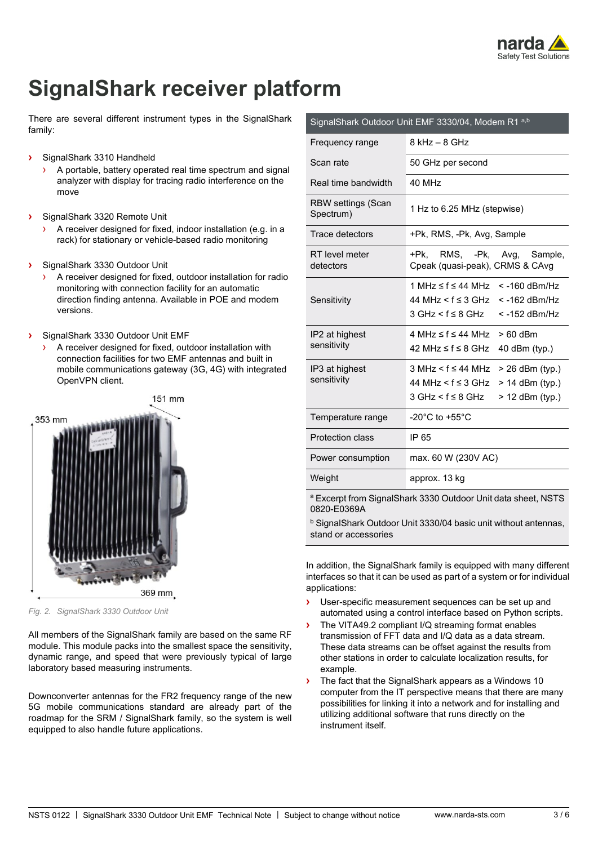

## **SignalShark receiver platform**

There are several different instrument types in the SignalShark family:

- **›** SignalShark 3310 Handheld
	- A portable, battery operated real time spectrum and signal analyzer with display for tracing radio interference on the move
- **›** SignalShark 3320 Remote Unit
	- A receiver designed for fixed, indoor installation (e.g. in a rack) for stationary or vehicle-based radio monitoring
- **›** SignalShark 3330 Outdoor Unit
	- A receiver designed for fixed, outdoor installation for radio monitoring with connection facility for an automatic direction finding antenna. Available in POE and modem versions.
- **›** SignalShark 3330 Outdoor Unit EMF
	- › A receiver designed for fixed, outdoor installation with connection facilities for two EMF antennas and built in mobile communications gateway (3G, 4G) with integrated OpenVPN client.



*Fig. 2. SignalShark 3330 Outdoor Unit*

All members of the SignalShark family are based on the same RF module. This module packs into the smallest space the sensitivity, dynamic range, and speed that were previously typical of large laboratory based measuring instruments.

Downconverter antennas for the FR2 frequency range of the new 5G mobile communications standard are already part of the roadmap for the SRM / SignalShark family, so the system is well equipped to also handle future applications.

| 8 kHz – 8 GHz                                                                                                                   |
|---------------------------------------------------------------------------------------------------------------------------------|
| 50 GHz per second                                                                                                               |
| 40 MHz                                                                                                                          |
| 1 Hz to 6.25 MHz (stepwise)                                                                                                     |
| +Pk, RMS, -Pk, Avg, Sample                                                                                                      |
| RMS, -Pk, Avg, Sample,<br>+Pk.<br>Cpeak (quasi-peak), CRMS & CAvg                                                               |
| 1 MHz ≤ f ≤ 44 MHz<br>$<$ -160 dBm/Hz<br>44 MHz < f ≤ 3 GHz<br>$<$ -162 dBm/Hz<br>$3$ GHz $\lt$ f $\leq$ 8 GHz<br>< -152 dBm/Hz |
| $4 \text{ MHz} \leq f \leq 44 \text{ MHz}$<br>$>60$ dBm<br>42 MHz ≤ $f$ ≤ 8 GHz<br>40 dBm (typ.)                                |
| $3$ MHz $5 \leq 44$ MHz<br>> 26 dBm (typ.)<br>44 MHz < $f$ ≤ 3 GHz > 14 dBm (typ.)<br>$3 GHz < f \leq 8 GHz$<br>> 12 dBm (typ.) |
| -20 $^{\circ}$ C to +55 $^{\circ}$ C                                                                                            |
| IP 65                                                                                                                           |
| max. 60 W (230V AC)                                                                                                             |
| approx. 13 kg                                                                                                                   |
|                                                                                                                                 |

<sup>a</sup> Excerpt from SignalShark 3330 Outdoor Unit data sheet, NSTS 0820-E0369A

**b** SignalShark Outdoor Unit 3330/04 basic unit without antennas, stand or accessories

In addition, the SignalShark family is equipped with many different interfaces so that it can be used as part of a system or for individual applications:

- **›** User-specific measurement sequences can be set up and automated using a control interface based on Python scripts.
- **›** The VITA49.2 compliant I/Q streaming format enables transmission of FFT data and I/Q data as a data stream. These data streams can be offset against the results from other stations in order to calculate localization results, for example.
- **›** The fact that the SignalShark appears as a Windows 10 computer from the IT perspective means that there are many possibilities for linking it into a network and for installing and utilizing additional software that runs directly on the instrument itself.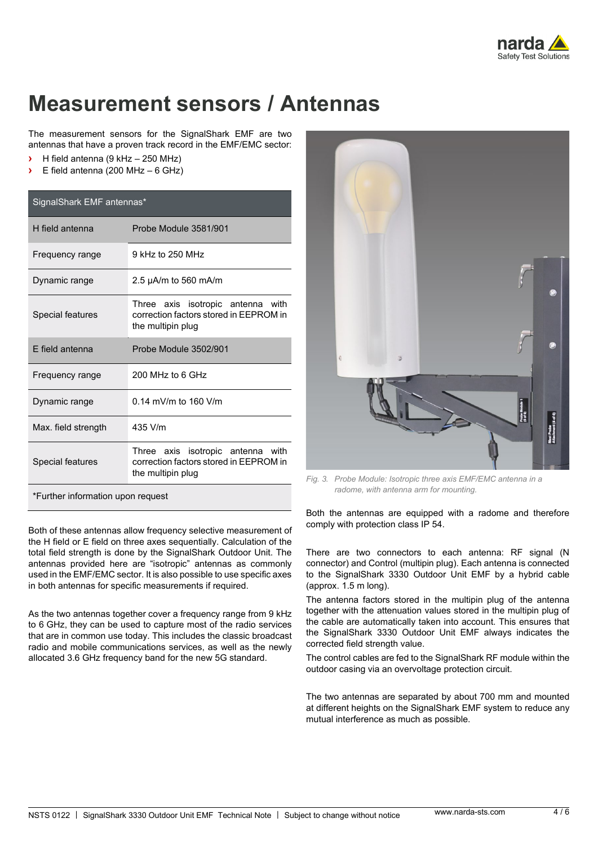

### **Measurement sensors / Antennas**

The measurement sensors for the SignalShark EMF are two antennas that have a proven track record in the EMF/EMC sector:

- **›** H field antenna (9 kHz 250 MHz)
- **›** E field antenna (200 MHz 6 GHz)

| SignalShark EMF antennas*         |                                                                                                     |
|-----------------------------------|-----------------------------------------------------------------------------------------------------|
| H field antenna                   | Probe Module 3581/901                                                                               |
| Frequency range                   | 9 kHz to 250 MHz                                                                                    |
| Dynamic range                     | 2.5 $\mu$ A/m to 560 mA/m                                                                           |
| Special features                  | Three axis isotropic antenna<br>with<br>correction factors stored in EEPROM in<br>the multipin plug |
| E field antenna                   | Probe Module 3502/901                                                                               |
| Frequency range                   | $200$ MHz to 6 GHz                                                                                  |
| Dynamic range                     | $0.14$ mV/m to 160 V/m                                                                              |
| Max. field strength               | 435 V/m                                                                                             |
| Special features                  | Three axis isotropic antenna with<br>correction factors stored in FFPROM in<br>the multipin plug    |
| *Further information upon request |                                                                                                     |

Both of these antennas allow frequency selective measurement of the H field or E field on three axes sequentially. Calculation of the total field strength is done by the SignalShark Outdoor Unit. The antennas provided here are "isotropic" antennas as commonly used in the EMF/EMC sector. It is also possible to use specific axes in both antennas for specific measurements if required.

As the two antennas together cover a frequency range from 9 kHz to 6 GHz, they can be used to capture most of the radio services that are in common use today. This includes the classic broadcast radio and mobile communications services, as well as the newly allocated 3.6 GHz frequency band for the new 5G standard.



*Fig. 3. Probe Module: Isotropic three axis EMF/EMC antenna in a radome, with antenna arm for mounting.*

Both the antennas are equipped with a radome and therefore comply with protection class IP 54.

There are two connectors to each antenna: RF signal (N connector) and Control (multipin plug). Each antenna is connected to the SignalShark 3330 Outdoor Unit EMF by a hybrid cable (approx. 1.5 m long).

The antenna factors stored in the multipin plug of the antenna together with the attenuation values stored in the multipin plug of the cable are automatically taken into account. This ensures that the SignalShark 3330 Outdoor Unit EMF always indicates the corrected field strength value.

The control cables are fed to the SignalShark RF module within the outdoor casing via an overvoltage protection circuit.

The two antennas are separated by about 700 mm and mounted at different heights on the SignalShark EMF system to reduce any mutual interference as much as possible.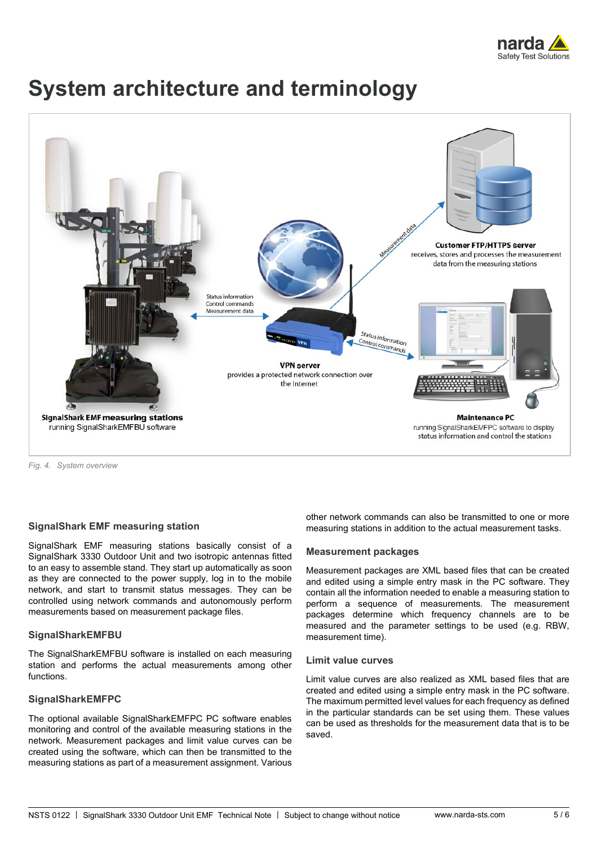

## **System architecture and terminology**



*Fig. 4. System overview*

#### **SignalShark EMF measuring station**

SignalShark EMF measuring stations basically consist of a SignalShark 3330 Outdoor Unit and two isotropic antennas fitted to an easy to assemble stand. They start up automatically as soon as they are connected to the power supply, log in to the mobile network, and start to transmit status messages. They can be controlled using network commands and autonomously perform measurements based on measurement package files.

#### **SignalSharkEMFBU**

The SignalSharkEMFBU software is installed on each measuring station and performs the actual measurements among other functions.

#### **SignalSharkEMFPC**

The optional available SignalSharkEMFPC PC software enables monitoring and control of the available measuring stations in the network. Measurement packages and limit value curves can be created using the software, which can then be transmitted to the measuring stations as part of a measurement assignment. Various

other network commands can also be transmitted to one or more measuring stations in addition to the actual measurement tasks.

#### **Measurement packages**

Measurement packages are XML based files that can be created and edited using a simple entry mask in the PC software. They contain all the information needed to enable a measuring station to perform a sequence of measurements. The measurement packages determine which frequency channels are to be measured and the parameter settings to be used (e.g. RBW, measurement time).

#### **Limit value curves**

Limit value curves are also realized as XML based files that are created and edited using a simple entry mask in the PC software. The maximum permitted level values for each frequency as defined in the particular standards can be set using them. These values can be used as thresholds for the measurement data that is to be saved.